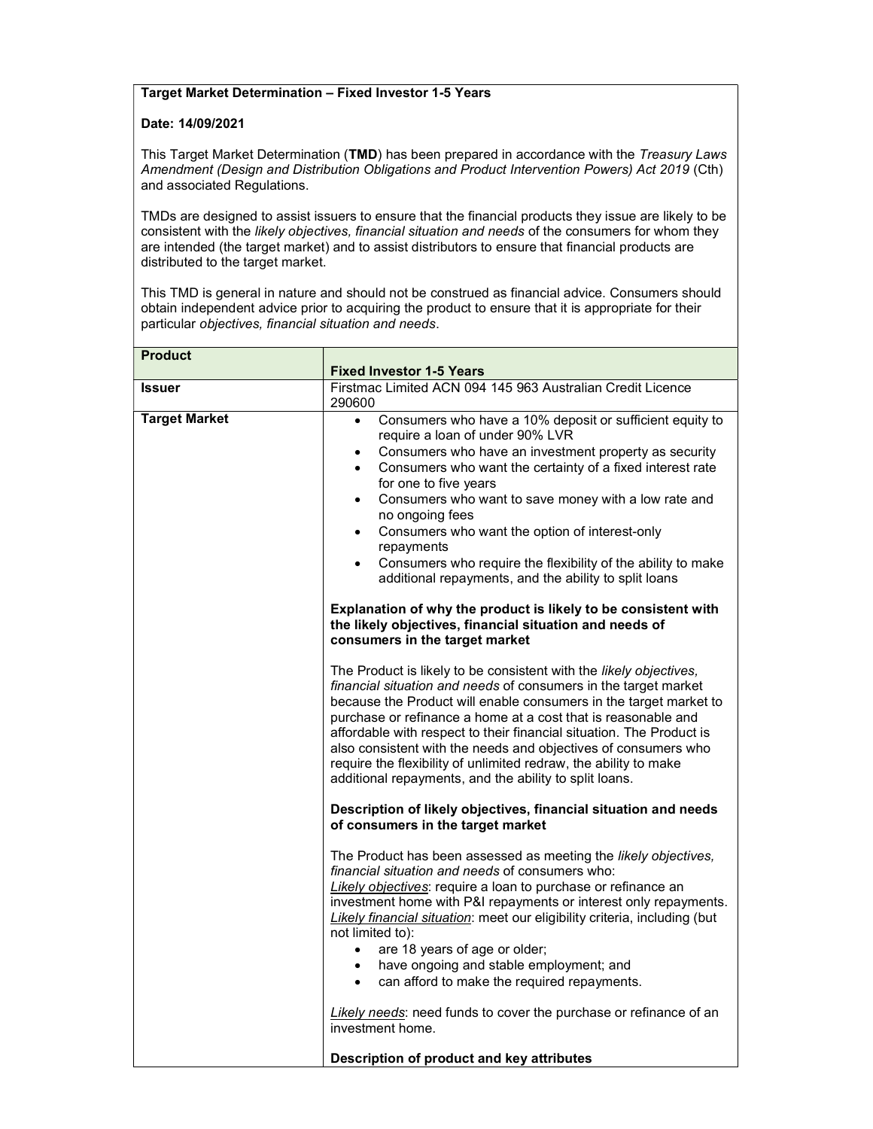## Target Market Determination – Fixed Investor 1-5 Years

## Date: 14/09/2021

This Target Market Determination (TMD) has been prepared in accordance with the Treasury Laws Amendment (Design and Distribution Obligations and Product Intervention Powers) Act 2019 (Cth) and associated Regulations.

TMDs are designed to assist issuers to ensure that the financial products they issue are likely to be consistent with the likely objectives, financial situation and needs of the consumers for whom they are intended (the target market) and to assist distributors to ensure that financial products are distributed to the target market.

This TMD is general in nature and should not be construed as financial advice. Consumers should obtain independent advice prior to acquiring the product to ensure that it is appropriate for their particular objectives, financial situation and needs.

| <b>Product</b>       |                                                                                                                                                                                                                                                                                                                                                                                                                                                                                                                                                                                              |
|----------------------|----------------------------------------------------------------------------------------------------------------------------------------------------------------------------------------------------------------------------------------------------------------------------------------------------------------------------------------------------------------------------------------------------------------------------------------------------------------------------------------------------------------------------------------------------------------------------------------------|
|                      | <b>Fixed Investor 1-5 Years</b>                                                                                                                                                                                                                                                                                                                                                                                                                                                                                                                                                              |
| Issuer               | Firstmac Limited ACN 094 145 963 Australian Credit Licence<br>290600                                                                                                                                                                                                                                                                                                                                                                                                                                                                                                                         |
| <b>Target Market</b> | Consumers who have a 10% deposit or sufficient equity to<br>$\bullet$<br>require a loan of under 90% LVR<br>Consumers who have an investment property as security<br>$\bullet$<br>Consumers who want the certainty of a fixed interest rate<br>$\bullet$<br>for one to five years<br>Consumers who want to save money with a low rate and<br>$\bullet$<br>no ongoing fees<br>Consumers who want the option of interest-only<br>$\bullet$<br>repayments<br>Consumers who require the flexibility of the ability to make<br>$\bullet$<br>additional repayments, and the ability to split loans |
|                      | Explanation of why the product is likely to be consistent with<br>the likely objectives, financial situation and needs of<br>consumers in the target market                                                                                                                                                                                                                                                                                                                                                                                                                                  |
|                      | The Product is likely to be consistent with the likely objectives,<br>financial situation and needs of consumers in the target market<br>because the Product will enable consumers in the target market to<br>purchase or refinance a home at a cost that is reasonable and<br>affordable with respect to their financial situation. The Product is<br>also consistent with the needs and objectives of consumers who<br>require the flexibility of unlimited redraw, the ability to make<br>additional repayments, and the ability to split loans.                                          |
|                      | Description of likely objectives, financial situation and needs<br>of consumers in the target market                                                                                                                                                                                                                                                                                                                                                                                                                                                                                         |
|                      | The Product has been assessed as meeting the likely objectives,<br>financial situation and needs of consumers who:<br>Likely objectives: require a loan to purchase or refinance an<br>investment home with P&I repayments or interest only repayments.<br>Likely financial situation: meet our eligibility criteria, including (but<br>not limited to):<br>are 18 years of age or older;<br>$\bullet$<br>have ongoing and stable employment; and<br>$\bullet$                                                                                                                               |
|                      | can afford to make the required repayments.<br>$\bullet$                                                                                                                                                                                                                                                                                                                                                                                                                                                                                                                                     |
|                      | Likely needs: need funds to cover the purchase or refinance of an<br>investment home.                                                                                                                                                                                                                                                                                                                                                                                                                                                                                                        |
|                      | Description of product and key attributes                                                                                                                                                                                                                                                                                                                                                                                                                                                                                                                                                    |